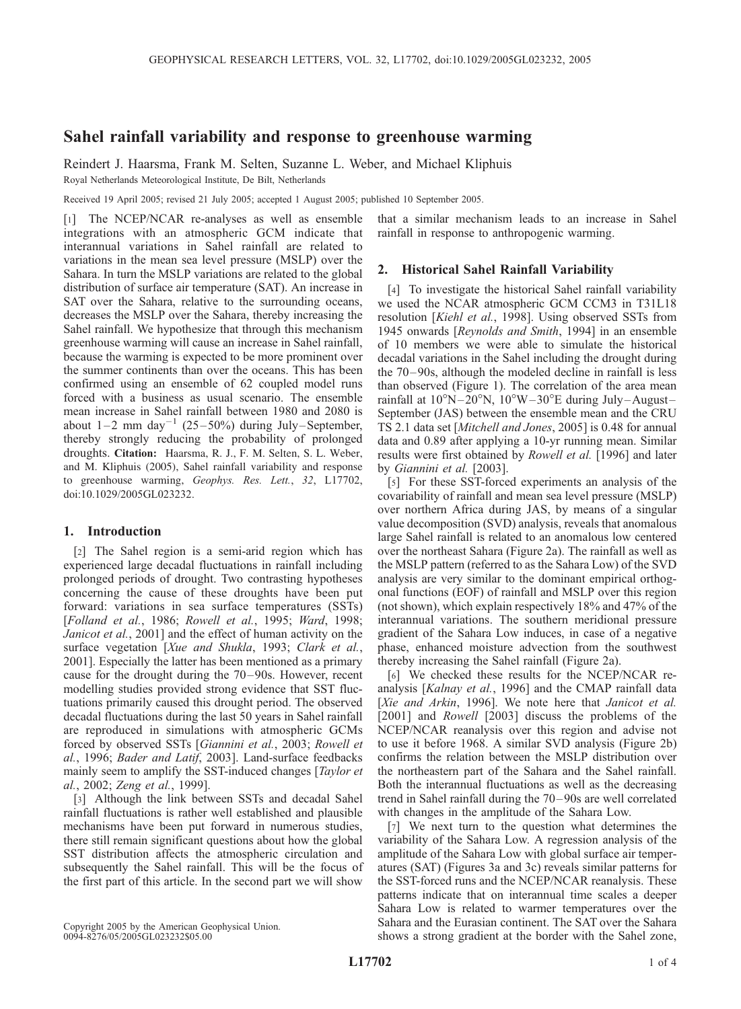# Sahel rainfall variability and response to greenhouse warming

Reindert J. Haarsma, Frank M. Selten, Suzanne L. Weber, and Michael Kliphuis Royal Netherlands Meteorological Institute, De Bilt, Netherlands

Received 19 April 2005; revised 21 July 2005; accepted 1 August 2005; published 10 September 2005.

[1] The NCEP/NCAR re-analyses as well as ensemble integrations with an atmospheric GCM indicate that interannual variations in Sahel rainfall are related to variations in the mean sea level pressure (MSLP) over the Sahara. In turn the MSLP variations are related to the global distribution of surface air temperature (SAT). An increase in SAT over the Sahara, relative to the surrounding oceans, decreases the MSLP over the Sahara, thereby increasing the Sahel rainfall. We hypothesize that through this mechanism greenhouse warming will cause an increase in Sahel rainfall, because the warming is expected to be more prominent over the summer continents than over the oceans. This has been confirmed using an ensemble of 62 coupled model runs forced with a business as usual scenario. The ensemble mean increase in Sahel rainfall between 1980 and 2080 is about  $1-2$  mm day<sup>-1</sup> (25-50%) during July-September, thereby strongly reducing the probability of prolonged droughts. Citation: Haarsma, R. J., F. M. Selten, S. L. Weber, and M. Kliphuis (2005), Sahel rainfall variability and response to greenhouse warming, Geophys. Res. Lett., 32, L17702, doi:10.1029/2005GL023232.

## 1. Introduction

[2] The Sahel region is a semi-arid region which has experienced large decadal fluctuations in rainfall including prolonged periods of drought. Two contrasting hypotheses concerning the cause of these droughts have been put forward: variations in sea surface temperatures (SSTs) [Folland et al., 1986; Rowell et al., 1995; Ward, 1998; Janicot et al., 2001] and the effect of human activity on the surface vegetation [Xue and Shukla, 1993; Clark et al., 2001]. Especially the latter has been mentioned as a primary cause for the drought during the 70– 90s. However, recent modelling studies provided strong evidence that SST fluctuations primarily caused this drought period. The observed decadal fluctuations during the last 50 years in Sahel rainfall are reproduced in simulations with atmospheric GCMs forced by observed SSTs [Giannini et al., 2003; Rowell et al., 1996; Bader and Latif, 2003]. Land-surface feedbacks mainly seem to amplify the SST-induced changes [*Taylor et* al., 2002; Zeng et al., 1999].

[3] Although the link between SSTs and decadal Sahel rainfall fluctuations is rather well established and plausible mechanisms have been put forward in numerous studies, there still remain significant questions about how the global SST distribution affects the atmospheric circulation and subsequently the Sahel rainfall. This will be the focus of the first part of this article. In the second part we will show

Copyright 2005 by the American Geophysical Union. 0094-8276/05/2005GL023232\$05.00

that a similar mechanism leads to an increase in Sahel rainfall in response to anthropogenic warming.

# 2. Historical Sahel Rainfall Variability

[4] To investigate the historical Sahel rainfall variability we used the NCAR atmospheric GCM CCM3 in T31L18 resolution [Kiehl et al., 1998]. Using observed SSTs from 1945 onwards [Reynolds and Smith, 1994] in an ensemble of 10 members we were able to simulate the historical decadal variations in the Sahel including the drought during the 70– 90s, although the modeled decline in rainfall is less than observed (Figure 1). The correlation of the area mean rainfall at  $10^{\circ}N - 20^{\circ}N$ ,  $10^{\circ}W - 30^{\circ}E$  during July-August-September (JAS) between the ensemble mean and the CRU TS 2.1 data set [Mitchell and Jones, 2005] is 0.48 for annual data and 0.89 after applying a 10-yr running mean. Similar results were first obtained by Rowell et al. [1996] and later by Giannini et al. [2003].

[5] For these SST-forced experiments an analysis of the covariability of rainfall and mean sea level pressure (MSLP) over northern Africa during JAS, by means of a singular value decomposition (SVD) analysis, reveals that anomalous large Sahel rainfall is related to an anomalous low centered over the northeast Sahara (Figure 2a). The rainfall as well as the MSLP pattern (referred to as the Sahara Low) of the SVD analysis are very similar to the dominant empirical orthogonal functions (EOF) of rainfall and MSLP over this region (not shown), which explain respectively 18% and 47% of the interannual variations. The southern meridional pressure gradient of the Sahara Low induces, in case of a negative phase, enhanced moisture advection from the southwest thereby increasing the Sahel rainfall (Figure 2a).

[6] We checked these results for the NCEP/NCAR reanalysis [Kalnay et al., 1996] and the CMAP rainfall data [Xie and Arkin, 1996]. We note here that Janicot et al. [2001] and *Rowell* [2003] discuss the problems of the NCEP/NCAR reanalysis over this region and advise not to use it before 1968. A similar SVD analysis (Figure 2b) confirms the relation between the MSLP distribution over the northeastern part of the Sahara and the Sahel rainfall. Both the interannual fluctuations as well as the decreasing trend in Sahel rainfall during the 70– 90s are well correlated with changes in the amplitude of the Sahara Low.

[7] We next turn to the question what determines the variability of the Sahara Low. A regression analysis of the amplitude of the Sahara Low with global surface air temperatures (SAT) (Figures 3a and 3c) reveals similar patterns for the SST-forced runs and the NCEP/NCAR reanalysis. These patterns indicate that on interannual time scales a deeper Sahara Low is related to warmer temperatures over the Sahara and the Eurasian continent. The SAT over the Sahara shows a strong gradient at the border with the Sahel zone,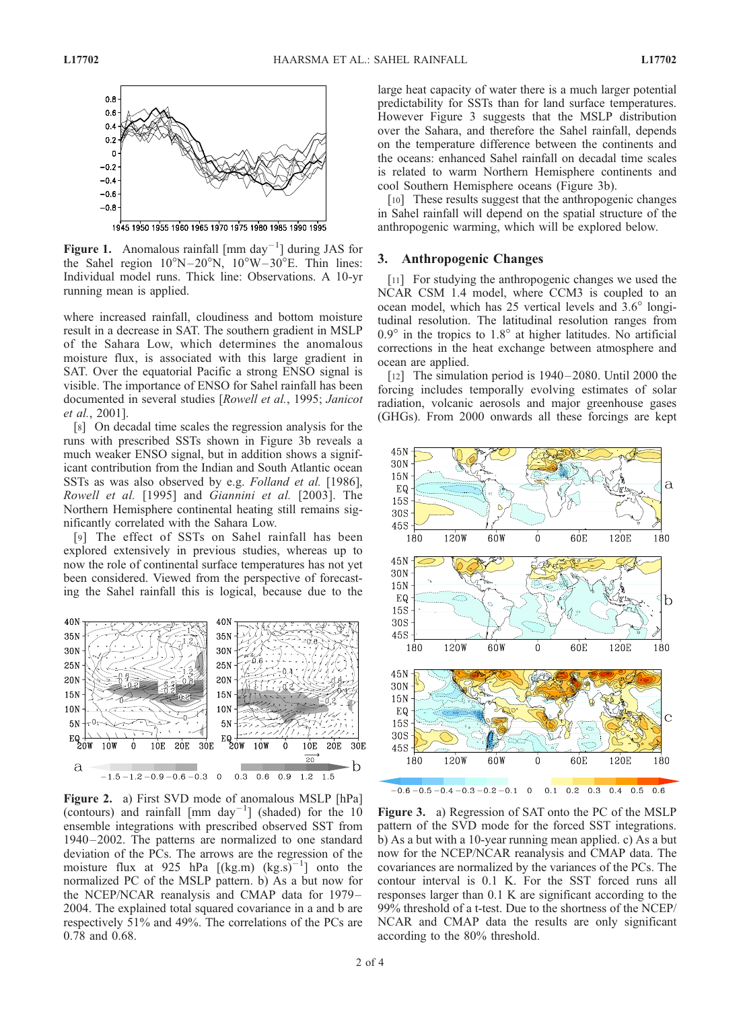

Figure 1. Anomalous rainfall  $\left[ \text{mm day}^{-1} \right]$  during JAS for the Sahel region  $10^{\circ}N - 20^{\circ}N$ ,  $10^{\circ}W - 30^{\circ}E$ . Thin lines: Individual model runs. Thick line: Observations. A 10-yr running mean is applied.

where increased rainfall, cloudiness and bottom moisture result in a decrease in SAT. The southern gradient in MSLP of the Sahara Low, which determines the anomalous moisture flux, is associated with this large gradient in SAT. Over the equatorial Pacific a strong ENSO signal is visible. The importance of ENSO for Sahel rainfall has been documented in several studies [Rowell et al., 1995; Janicot et al., 2001].

[8] On decadal time scales the regression analysis for the runs with prescribed SSTs shown in Figure 3b reveals a much weaker ENSO signal, but in addition shows a significant contribution from the Indian and South Atlantic ocean SSTs as was also observed by e.g. Folland et al. [1986], Rowell et al. [1995] and Giannini et al. [2003]. The Northern Hemisphere continental heating still remains significantly correlated with the Sahara Low.

[9] The effect of SSTs on Sahel rainfall has been explored extensively in previous studies, whereas up to now the role of continental surface temperatures has not yet been considered. Viewed from the perspective of forecasting the Sahel rainfall this is logical, because due to the



Figure 2. a) First SVD mode of anomalous MSLP [hPa] (contours) and rainfall  $\left[ \text{mm}\ \text{day}^{-1} \right]$  (shaded) for the  $10$ ensemble integrations with prescribed observed SST from 1940 – 2002. The patterns are normalized to one standard deviation of the PCs. The arrows are the regression of the moisture flux at 925 hPa  $[(kg.m) (kg.s)^{-1}]$  onto the normalized PC of the MSLP pattern. b) As a but now for the NCEP/NCAR reanalysis and CMAP data for 1979 – 2004. The explained total squared covariance in a and b are respectively 51% and 49%. The correlations of the PCs are 0.78 and 0.68.

large heat capacity of water there is a much larger potential predictability for SSTs than for land surface temperatures. However Figure 3 suggests that the MSLP distribution over the Sahara, and therefore the Sahel rainfall, depends on the temperature difference between the continents and the oceans: enhanced Sahel rainfall on decadal time scales is related to warm Northern Hemisphere continents and cool Southern Hemisphere oceans (Figure 3b).

[10] These results suggest that the anthropogenic changes in Sahel rainfall will depend on the spatial structure of the anthropogenic warming, which will be explored below.

### 3. Anthropogenic Changes

[11] For studying the anthropogenic changes we used the NCAR CSM 1.4 model, where CCM3 is coupled to an ocean model, which has  $25$  vertical levels and  $3.6^{\circ}$  longitudinal resolution. The latitudinal resolution ranges from  $0.9^\circ$  in the tropics to  $1.8^\circ$  at higher latitudes. No artificial corrections in the heat exchange between atmosphere and ocean are applied.

[12] The simulation period is  $1940-2080$ . Until 2000 the forcing includes temporally evolving estimates of solar radiation, volcanic aerosols and major greenhouse gases (GHGs). From 2000 onwards all these forcings are kept



Figure 3. a) Regression of SAT onto the PC of the MSLP pattern of the SVD mode for the forced SST integrations. b) As a but with a 10-year running mean applied. c) As a but now for the NCEP/NCAR reanalysis and CMAP data. The covariances are normalized by the variances of the PCs. The contour interval is 0.1 K. For the SST forced runs all responses larger than 0.1 K are significant according to the 99% threshold of a t-test. Due to the shortness of the NCEP/ NCAR and CMAP data the results are only significant according to the 80% threshold.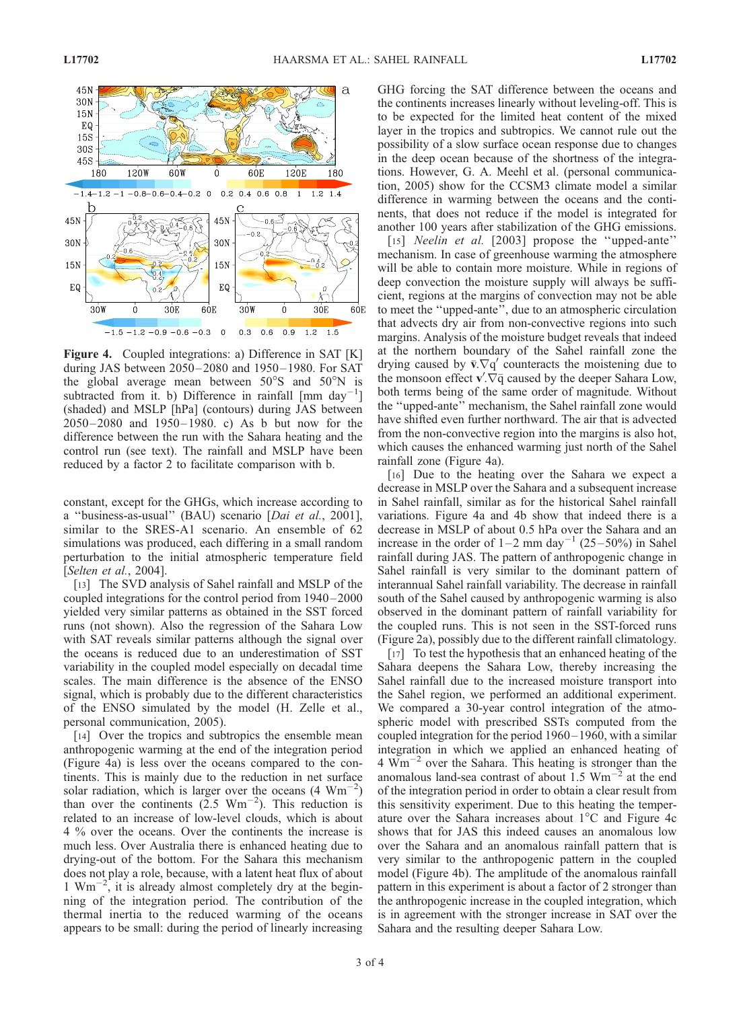

Figure 4. Coupled integrations: a) Difference in SAT [K] during JAS between 2050-2080 and 1950-1980. For SAT the global average mean between  $50^{\circ}$ S and  $50^{\circ}$ N is subtracted from it. b) Difference in rainfall  $\left[ \text{mm }\text{day}^{-1} \right]$ (shaded) and MSLP [hPa] (contours) during JAS between 2050 – 2080 and 1950– 1980. c) As b but now for the difference between the run with the Sahara heating and the control run (see text). The rainfall and MSLP have been reduced by a factor 2 to facilitate comparison with b.

constant, except for the GHGs, which increase according to a ''business-as-usual'' (BAU) scenario [Dai et al., 2001], similar to the SRES-A1 scenario. An ensemble of 62 simulations was produced, each differing in a small random perturbation to the initial atmospheric temperature field [Selten et al., 2004].

[13] The SVD analysis of Sahel rainfall and MSLP of the coupled integrations for the control period from 1940 – 2000 yielded very similar patterns as obtained in the SST forced runs (not shown). Also the regression of the Sahara Low with SAT reveals similar patterns although the signal over the oceans is reduced due to an underestimation of SST variability in the coupled model especially on decadal time scales. The main difference is the absence of the ENSO signal, which is probably due to the different characteristics of the ENSO simulated by the model (H. Zelle et al., personal communication, 2005).

[14] Over the tropics and subtropics the ensemble mean anthropogenic warming at the end of the integration period (Figure 4a) is less over the oceans compared to the continents. This is mainly due to the reduction in net surface solar radiation, which is larger over the oceans  $(4 \text{ Wm}^{-2})$ than over the continents  $(2.5 \text{ Wm}^{-2})$ . This reduction is related to an increase of low-level clouds, which is about 4 % over the oceans. Over the continents the increase is much less. Over Australia there is enhanced heating due to drying-out of the bottom. For the Sahara this mechanism does not play a role, because, with a latent heat flux of about 1  $Wm^{-2}$ , it is already almost completely dry at the beginning of the integration period. The contribution of the thermal inertia to the reduced warming of the oceans appears to be small: during the period of linearly increasing

GHG forcing the SAT difference between the oceans and the continents increases linearly without leveling-off. This is to be expected for the limited heat content of the mixed layer in the tropics and subtropics. We cannot rule out the possibility of a slow surface ocean response due to changes in the deep ocean because of the shortness of the integrations. However, G. A. Meehl et al. (personal communication, 2005) show for the CCSM3 climate model a similar difference in warming between the oceans and the continents, that does not reduce if the model is integrated for another 100 years after stabilization of the GHG emissions.

[15] *Neelin et al.* [2003] propose the "upped-ante" mechanism. In case of greenhouse warming the atmosphere will be able to contain more moisture. While in regions of deep convection the moisture supply will always be sufficient, regions at the margins of convection may not be able to meet the ''upped-ante'', due to an atmospheric circulation that advects dry air from non-convective regions into such margins. Analysis of the moisture budget reveals that indeed at the northern boundary of the Sahel rainfall zone the drying caused by  $\bar{v}.\nabla q'$  counteracts the moistening due to the monsoon effect  $\mathbf{v}' \cdot \nabla \overline{\mathbf{q}}$  caused by the deeper Sahara Low, both terms being of the same order of magnitude. Without the ''upped-ante'' mechanism, the Sahel rainfall zone would have shifted even further northward. The air that is advected from the non-convective region into the margins is also hot, which causes the enhanced warming just north of the Sahel rainfall zone (Figure 4a).

[16] Due to the heating over the Sahara we expect a decrease in MSLP over the Sahara and a subsequent increase in Sahel rainfall, similar as for the historical Sahel rainfall variations. Figure 4a and 4b show that indeed there is a decrease in MSLP of about 0.5 hPa over the Sahara and an increase in the order of  $1-2$  mm day<sup>-1</sup> (25-50%) in Sahel rainfall during JAS. The pattern of anthropogenic change in Sahel rainfall is very similar to the dominant pattern of interannual Sahel rainfall variability. The decrease in rainfall south of the Sahel caused by anthropogenic warming is also observed in the dominant pattern of rainfall variability for the coupled runs. This is not seen in the SST-forced runs (Figure 2a), possibly due to the different rainfall climatology.

[17] To test the hypothesis that an enhanced heating of the Sahara deepens the Sahara Low, thereby increasing the Sahel rainfall due to the increased moisture transport into the Sahel region, we performed an additional experiment. We compared a 30-year control integration of the atmospheric model with prescribed SSTs computed from the coupled integration for the period 1960 – 1960, with a similar integration in which we applied an enhanced heating of 4  $\text{Wm}^{-2}$  over the Sahara. This heating is stronger than the anomalous land-sea contrast of about  $1.5 \text{ Wm}^{-2}$  at the end of the integration period in order to obtain a clear result from this sensitivity experiment. Due to this heating the temperature over the Sahara increases about  $1^{\circ}$ C and Figure 4c shows that for JAS this indeed causes an anomalous low over the Sahara and an anomalous rainfall pattern that is very similar to the anthropogenic pattern in the coupled model (Figure 4b). The amplitude of the anomalous rainfall pattern in this experiment is about a factor of 2 stronger than the anthropogenic increase in the coupled integration, which is in agreement with the stronger increase in SAT over the Sahara and the resulting deeper Sahara Low.